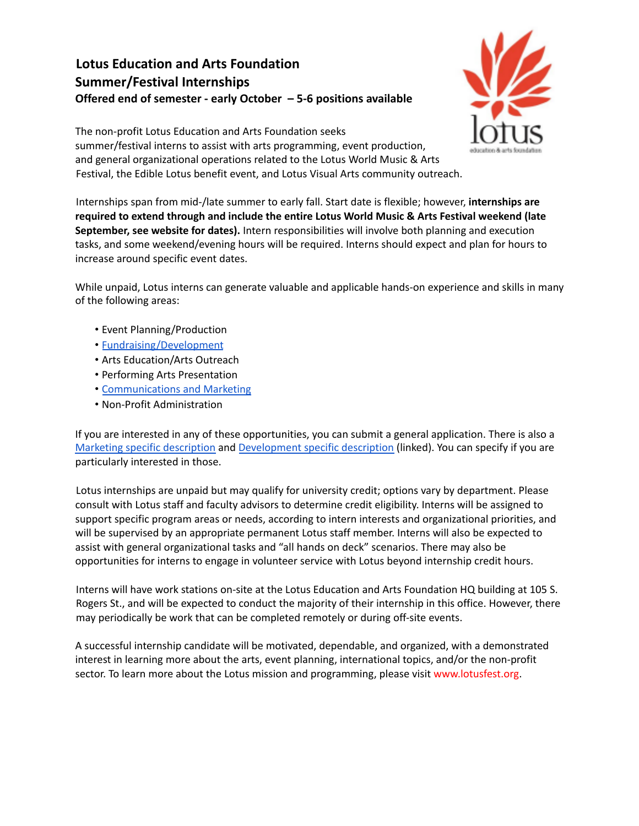## **Lotus Education and Arts Foundation Summer/Festival Internships Offered end of semester - early October – 5-6 positions available**



The non-profit Lotus Education and Arts Foundation seeks summer/festival interns to assist with arts programming, event production, and general organizational operations related to the Lotus World Music & Arts Festival, the Edible Lotus benefit event, and Lotus Visual Arts community outreach.

Internships span from mid-/late summer to early fall. Start date is flexible; however, **internships are required to extend through and include the entire Lotus World Music & Arts Festival weekend (late September, see website for dates).** Intern responsibilities will involve both planning and execution tasks, and some weekend/evening hours will be required. Interns should expect and plan for hours to increase around specific event dates.

While unpaid, Lotus interns can generate valuable and applicable hands-on experience and skills in many of the following areas:

- Event Planning/Production
- [Fundraising/Development](https://www.lotusfest.org/wp-content/uploads/2022/03/Summer-Development-Internship.pdf)
- Arts Education/Arts Outreach
- Performing Arts Presentation
- [Communications](https://www.lotusfest.org/wp-content/uploads/2022/03/Lotus-Marketing-Internship-Description.pdf) and Marketing
- Non-Profit Administration

If you are interested in any of these opportunities, you can submit a general application. There is also a Marketing specific [description](https://www.lotusfest.org/wp-content/uploads/2022/03/Lotus-Marketing-Internship-Description.pdf) and [Development](https://www.lotusfest.org/wp-content/uploads/2022/03/Lotus-Marketing-Internship-Description.pdf) specific description (linked). You can specify if you are particularly interested in those.

Lotus internships are unpaid but may qualify for university credit; options vary by department. Please consult with Lotus staff and faculty advisors to determine credit eligibility. Interns will be assigned to support specific program areas or needs, according to intern interests and organizational priorities, and will be supervised by an appropriate permanent Lotus staff member. Interns will also be expected to assist with general organizational tasks and "all hands on deck" scenarios. There may also be opportunities for interns to engage in volunteer service with Lotus beyond internship credit hours.

Interns will have work stations on-site at the Lotus Education and Arts Foundation HQ building at 105 S. Rogers St., and will be expected to conduct the majority of their internship in this office. However, there may periodically be work that can be completed remotely or during off-site events.

A successful internship candidate will be motivated, dependable, and organized, with a demonstrated interest in learning more about the arts, event planning, international topics, and/or the non-profit sector. To learn more about the Lotus mission and programming, please visit www.lotusfest.org.